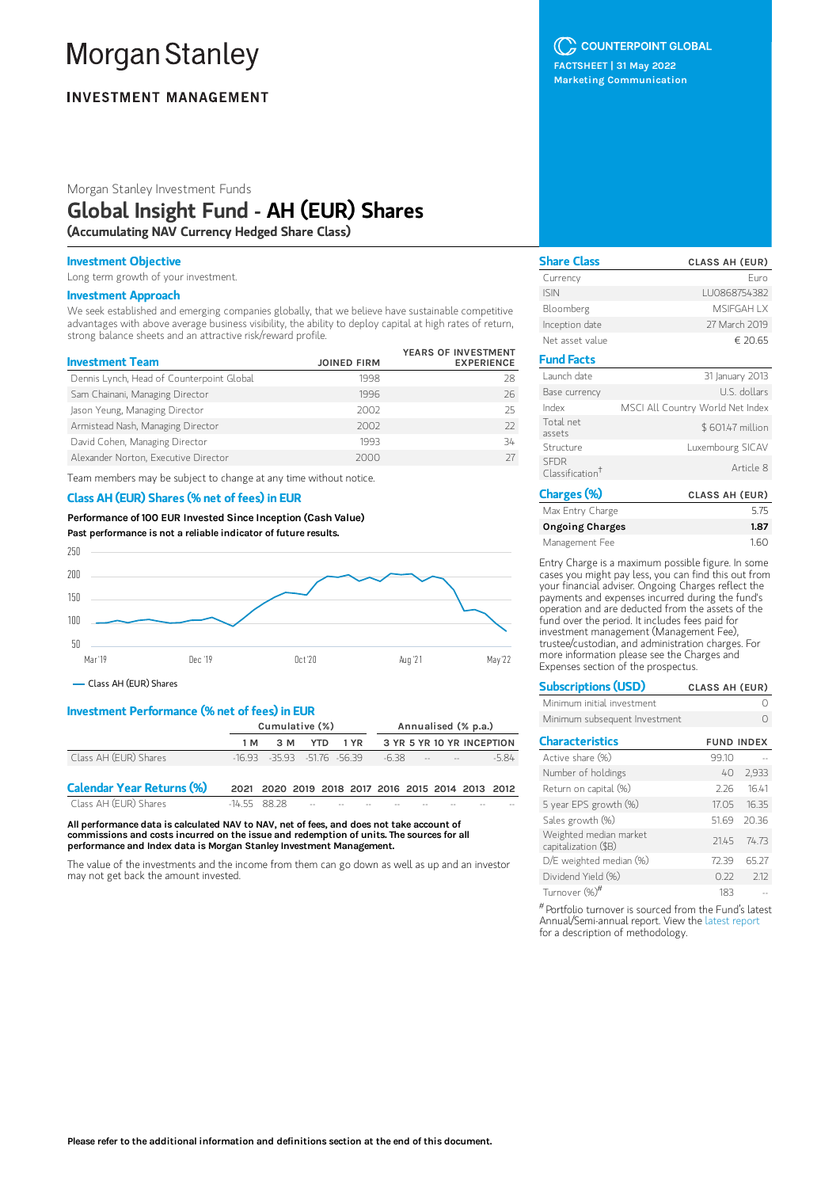# **Morgan Stanley**

# **INVESTMENT MANAGEMENT**

Morgan Stanley Investment Funds

# Global Insight Fund - AH (EUR) Shares

(Accumulating NAV Currency Hedged Share Class)

### Investment Objective

Long term growth of your investment.

#### Investment Approach

We seek established and emerging companies globally, that we believe have sustainable competitive advantages with above average business visibility, the ability to deploy capital at high rates of return, strong balance sheets and an attractive risk/reward profile.

| <b>Investment Team</b>                    | <b>JOINED FIRM</b> | YEARS OF INVESTMENT<br><b>EXPERIENCE</b> |
|-------------------------------------------|--------------------|------------------------------------------|
| Dennis Lynch, Head of Counterpoint Global | 1998               | 28                                       |
| Sam Chainani, Managing Director           | 1996               | 26                                       |
| Jason Yeung, Managing Director            | 2002               | 25                                       |
| Armistead Nash, Managing Director         | 2002               | 77                                       |
| David Cohen, Managing Director            | 1993               | 34                                       |
| Alexander Norton, Executive Director      | 2000               |                                          |

Team members may be subject to change at any time without notice.

# Class AH (EUR) Shares (% net of fees) in EUR

Performance of100 EUR Invested Since Inception (Cash Value) Past performance is not a reliable indicator of future results.



Class AH (EUR) Shares

# Investment Performance (% net of fees) in EUR

|                                  | Cumulative (%) |                                  |  | Annualised (% p.a.) |                                                   |       |  |                            |                           |         |
|----------------------------------|----------------|----------------------------------|--|---------------------|---------------------------------------------------|-------|--|----------------------------|---------------------------|---------|
|                                  | 1 M            | 3 M                              |  | <b>YTD</b>          | 1 YR                                              |       |  |                            | 3 YR 5 YR 10 YR INCEPTION |         |
| Class AH (EUR) Shares            |                | $-16.93 - 35.93 - 51.76 - 56.39$ |  |                     |                                                   | -6.38 |  | the company of the company |                           | $-5.84$ |
| <b>Calendar Year Returns (%)</b> |                |                                  |  |                     | 2021 2020 2019 2018 2017 2016 2015 2014 2013 2012 |       |  |                            |                           |         |
| Class AH (EUR) Shares            | $-14558828$    |                                  |  |                     |                                                   |       |  |                            |                           |         |

All performance data is calculated NAV to NAV, net of fees, and does not take account of commissions and costs incurred on the issue and redemption of units. The sources for all performance and Index data is Morgan Stanley Investment Management.

The value of the investments and the income from them can go down as well as up and an investor may not get back the amount invested.

# C COUNTERPOINT GLOBAL

FACTSHEET | 31 May 2022 Marketing Communication

| <b>Share Class</b>                         | <b>CLASS AH (EUR)</b>            |
|--------------------------------------------|----------------------------------|
| Currency                                   | Furo                             |
| <b>ISIN</b>                                | LU0868754382                     |
| Bloomberg                                  | <b>MSIFGAH I X</b>               |
| Inception date                             | 27 March 2019                    |
| Net asset value                            | € 20.65                          |
| <b>Fund Facts</b>                          |                                  |
| Launch date                                | 31 January 2013                  |
| Base currency                              | U.S. dollars                     |
| Index                                      | MSCI All Country World Net Index |
| Total net<br>assets                        | \$601.47 million                 |
| Structure                                  | Luxembourg SICAV                 |
| <b>SFDR</b><br>Classification <sup>†</sup> | Article 8                        |
| Charges (%)                                | <b>CLASS AH (EUR)</b>            |

| Max Entry Charge       | 5.75 |
|------------------------|------|
| <b>Ongoing Charges</b> | 1.87 |
| Management Fee         | 1.60 |

Entry Charge is a maximum possible figure. In some cases you might pay less, you can find this out from your financial adviser. Ongoing Charges reflect the payments and expenses incurred during the fund's operation and are deducted from the assets of the fund over the period. It includes fees paid for investment management (Management Fee), trustee/custodian, and administration charges. For more information please see the Charges and Expenses section of the prospectus.

| <b>Subscriptions (USD)</b>    | <b>CLASS AH (EUR)</b> |
|-------------------------------|-----------------------|
| Minimum initial investment    |                       |
| Minimum subsequent Investment |                       |

| <b>Characteristics</b>                         | <b>FUND INDEX</b> |           |
|------------------------------------------------|-------------------|-----------|
| Active share (%)                               | 99.10             |           |
| Number of holdings                             | 40                | 2,933     |
| Return on capital (%)                          | 226               | 1641      |
| 5 year EPS growth (%)                          | 1705              | 1635      |
| Sales growth (%)                               | 51.69             | 2036      |
| Weighted median market<br>capitalization (\$B) |                   | 2145 7473 |
| D/E weighted median (%)                        | 7239              | 65.27     |
| Dividend Yield (%)                             | 0.22              | 212       |
| Turnover (%)#                                  | 183               |           |

 $^{\#}$ Portfolio turnover is sourced from the Fund's latest Annual/Semi-annual report. View the latest [report](https://www.morganstanley.com/im/msinvf/index.html) for a description of methodology.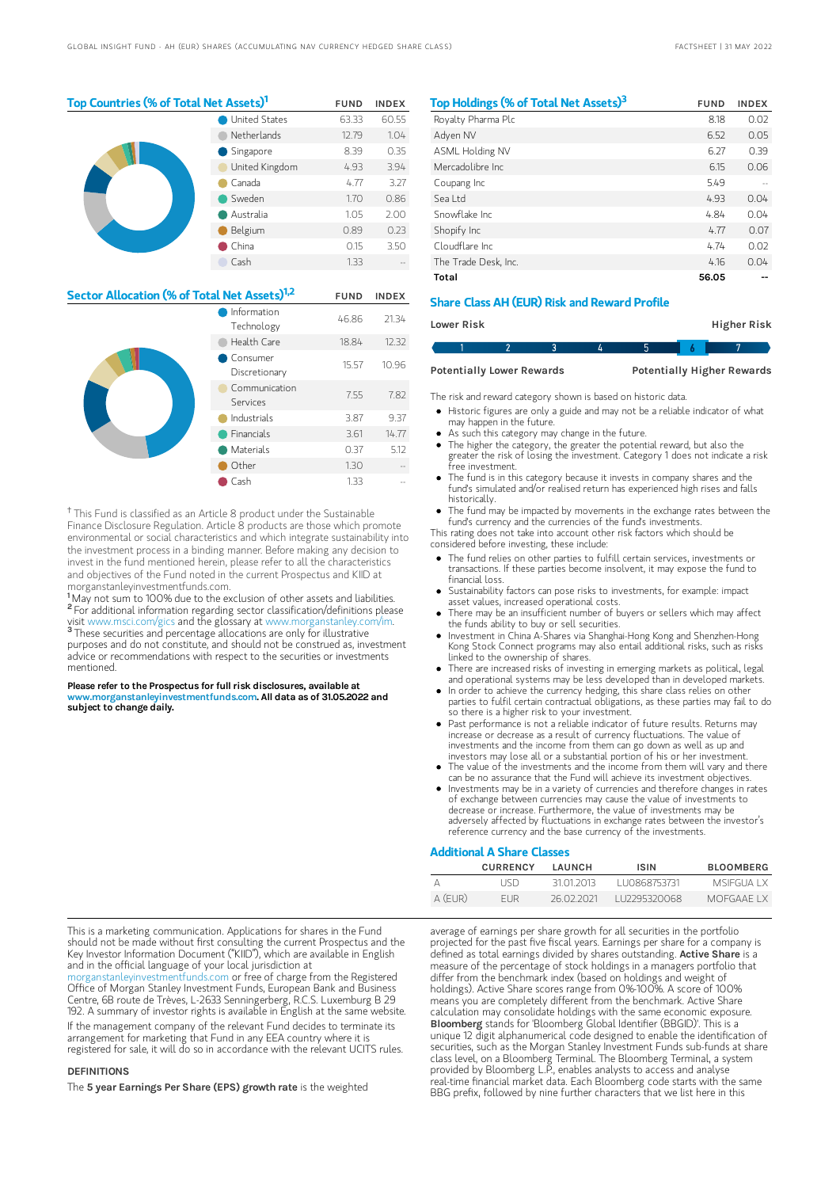| Top Countries (% of Total Net Assets) <sup>1</sup> |                      |       | <b>INDEX</b> |
|----------------------------------------------------|----------------------|-------|--------------|
|                                                    | <b>United States</b> | 63.33 | 60.55        |
|                                                    | Netherlands          | 12.79 | 1.04         |
|                                                    | Singapore            | 8.39  | 0.35         |
| United Kingdom                                     |                      | 4.93  | 3.94         |
|                                                    | Canada               | 4.77  | 3.27         |
|                                                    | Sweden               | 1.70  | 0.86         |
|                                                    | Australia            | 1.05  | 2.00         |
|                                                    | Belgium              | 0.89  | 0.23         |
|                                                    | China                | 0.15  | 3.50         |
|                                                    | Cash                 | 1.33  |              |

| Sector Allocation (% of Total Net Assets) <sup>1,2</sup> | <b>FUND</b>               | <b>INDEX</b> |       |
|----------------------------------------------------------|---------------------------|--------------|-------|
|                                                          | Information<br>Technology | 46.86        | 21.34 |
|                                                          | Health Care               | 18.84        | 12.32 |
|                                                          | Consumer<br>Discretionary | 15.57        | 10.96 |
|                                                          | Communication<br>Services | 7.55         | 7.82  |
|                                                          | Industrials               | 3.87         | 9.37  |
|                                                          | Financials                | 3.61         | 14.77 |
|                                                          | Materials                 | 0.37         | 5.12  |
|                                                          | Other                     | 1.30         |       |
|                                                          | Cash                      | 1.33         |       |

<sup>†</sup> This Fund is classified as an Article 8 product under the Sustainable Finance Disclosure Regulation. Article 8 products are those which promote environmental or social characteristics and which integrate sustainability into the investment process in a binding manner. Before making any decision to invest in the fund mentioned herein, please refer to all the characteristics and objectives of the Fund noted in the current Prospectus and KIID at morganstanleyinvestmentfunds.com.

<sup>1</sup>May not sum to 100% due to the exclusion of other assets and liabilities. <sup>2</sup> For additional information regarding sector classification/definitions please visit www.msci.com/gics and the glossary at www.morganstanley.com/im. <sup>3</sup> These securities and percentage allocations are only for illustrative purposes and do not constitute, and should not be construed as, investment advice or recommendations with respect to the securities or investments mentioned.

Please refer to the Prospectus for full risk disclosures, available at w.morganstanleyinvestmentfunds.com. All data as of 31.05.2022 and subject to change daily.

| Top Holdings (% of Total Net Assets) <sup>3</sup> | <b>FUND</b> | <b>INDEX</b> |
|---------------------------------------------------|-------------|--------------|
| Royalty Pharma Plc                                | 8.18        | 0.02         |
| Adven NV                                          | 6.52        | 0.05         |
| <b>ASML Holding NV</b>                            | 6.27        | 0.39         |
| Mercadolibre Inc.                                 | 6.15        | 0.06         |
| Coupang Inc                                       | 549         |              |
| Sealtd                                            | 4.93        | 0.04         |
| Snowflake Inc.                                    | 4.84        | 0.04         |
| Shopify Inc                                       | 4.77        | 0.07         |
| Cloudflare Inc.                                   | 4.74        | 0.02         |
| The Trade Desk, Inc.                              | 4.16        | 0.04         |
| Total                                             | 56.05       |              |

# Share Class AH (EUR) Risk and Reward Profile

| Lower Risk |  |  | Higher Risk |  |
|------------|--|--|-------------|--|
|            |  |  |             |  |

Potentially Lower Rewards Potentially Higher Rewards

The risk and reward category shown is based on historic data.

- Historic figures are only a guide and may not be a reliable indicator of what may happen in the future.
- As such this category may change in the future.
- $\bullet$ The higher the category, the greater the potential reward, but also the greater the risk of losing the investment. Category 1 does not indicate a risk free investment.
- The fund is in this category because it invests in company shares and the fund's simulated and/or realised return has experienced high rises and falls historically.
- The fund may be impacted by movements in the exchange rates between the fund's currency and the currencies of the fund's investments.

This rating does not take into account other risk factors which should be considered before investing, these include:

- The fund relies on other parties to fulfill certain services, investments or transactions. If these parties become insolvent, it may expose the fund to financial loss.
- Sustainability factors can pose risks to investments, for example: impact asset values, increased operational costs.
- There may be an insufficient number of buyers or sellers which may affect the funds ability to buy or sell securities.
- Investment in China A-Shares via Shanghai-Hong Kong and Shenzhen-Hong Kong Stock Connect programs may also entail additional risks, such as risks linked to the ownership of shares.
- There are increased risks of investing in emerging markets as political, legal and operational systems may be less developed than in developed markets.
- In order to achieve the currency hedging, this share class relies on other parties to fulfil certain contractual obligations, as these parties may fail to do so there is a higher risk to your investment.
- Past performance is not a reliable indicator of future results. Returns may increase or decrease as a result of currency fluctuations. The value of investments and the income from them can go down as well as up and investors may lose all or a substantial portion of his or her investment.
- The value of the investments and the income from them will vary and there can be no assurance that the Fund will achieve its investment objectives.
- Investments may be in a variety of currencies and therefore changes in rates of exchange between currencies may cause the value of investments to decrease or increase. Furthermore, the value of investments may be adversely affected by fluctuations in exchange rates between the investor's reference currency and the base currency of the investments.

#### Additional A Share Classes

|         | <b>CURRENCY</b> | <b>I AUNCH</b> | <b>ISIN</b>   | <b>BLOOMBERG</b> |
|---------|-----------------|----------------|---------------|------------------|
|         | LISD.           | 31 01 2013     | LU0868753731  | MSIEGUA I X      |
| A (EUR) | <b>FUR</b>      | 26 02 2021     | 1112295320068 | MOFGAAF I X      |

This is a marketing communication. Applications for shares in the Fund should not be made without first consulting the current Prospectus and the Key Investor Information Document ("KIID"), which are available in English and in the official language of your local jurisdiction at

rganstanleyinvestmentfunds.com or free of charge from the Registered Office of Morgan Stanley Investment Funds, European Bank and Business Centre, 6B route de Trèves, L-2633 Senningerberg, R.C.S. Luxemburg B 29 192. A summary of investor rights is available in English at the same website. If the management company of the relevant Fund decides to terminate its arrangement for marketing that Fund in any EEA country where it is

registered for sale, it will do so in accordance with the relevant UCITS rules.

#### **DEFINITIONS**

The 5 year Earnings Per Share (EPS) growth rate is the weighted

average of earnings per share growth for all securities in the portfolio projected for the past five fiscal years. Earnings per share for a company is defined as total earnings divided by shares outstanding. Active Share is a measure of the percentage of stock holdings in a managers portfolio that differ from the benchmark index (based on holdings and weight of holdings). Active Share scores range from 0%-100%. A score of 100% means you are completely different from the benchmark. Active Share calculation may consolidate holdings with the same economic exposure. Bloomberg stands for 'Bloomberg Global Identifier (BBGID)'. This is a unique 12 digit alphanumerical code designed to enable the identification of securities, such as the Morgan Stanley Investment Funds sub-funds at share class level, on a Bloomberg Terminal. The Bloomberg Terminal, a system provided by Bloomberg L.P., enables analysts to access and analyse real-time financial market data. Each Bloomberg code starts with the same BBG prefix, followed by nine further characters that we list here in this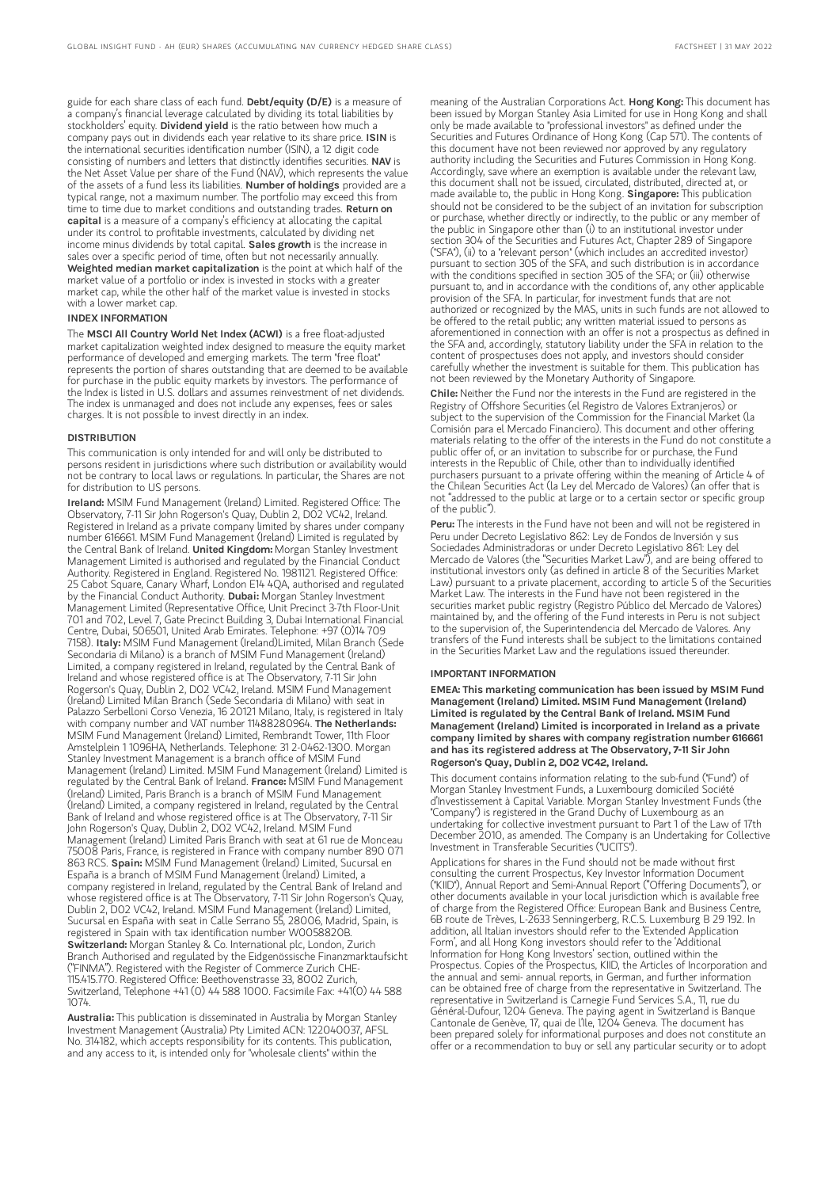guide for each share class of each fund. Debt/equity (D/E) is a measure of a company's financial leverage calculated by dividing its total liabilities by stockholders' equity. Dividend yield is the ratio between how much a company pays out in dividends each year relative to its share price. ISIN is the international securities identification number (ISIN), a 12 digit code consisting of numbers and letters that distinctly identifies securities. NAV is the Net Asset Value per share of the Fund (NAV), which represents the value of the assets of a fund less its liabilities. Number of holdings provided are a typical range, not a maximum number. The portfolio may exceed this from time to time due to market conditions and outstanding trades. Return on capital is a measure of a company's efficiency at allocating the capital under its control to profitable investments, calculated by dividing net income minus dividends by total capital. Sales growth is the increase in sales over a specific period of time, often but not necessarily annually. Weighted median market capitalization is the point at which half of the market value of a portfolio or index is invested in stocks with a greater market cap, while the other half of the market value is invested in stocks with a lower market cap.

#### INDEX INFORMATION

The MSCI All Country World Net Index (ACWI) is a free float-adjusted market capitalization weighted index designed to measure the equity market performance of developed and emerging markets. The term "free float" represents the portion of shares outstanding that are deemed to be available for purchase in the public equity markets by investors. The performance of the Index is listed in U.S. dollars and assumes reinvestment of net dividends. The index is unmanaged and does not include any expenses, fees or sales charges. It is not possible to invest directly in an index.

#### **DISTRIBUTION**

This communication is only intended for and will only be distributed to persons resident in jurisdictions where such distribution or availability would not be contrary to local laws or regulations. In particular, the Shares are not for distribution to US persons.

Ireland: MSIM Fund Management (Ireland) Limited. Registered Office: The Observatory, 7-11 Sir John Rogerson's Quay, Dublin 2, D02 VC42, Ireland. Registered in Ireland as a private company limited by shares under company number 616661. MSIM Fund Management (Ireland) Limited is regulated by the Central Bank of Ireland. United Kingdom: Morgan Stanley Investment Management Limited is authorised and regulated by the Financial Conduct Authority. Registered in England. Registered No. 1981121. Registered Office: 25 Cabot Square, Canary Wharf, London E14 4QA, authorised and regulated by the Financial Conduct Authority. Dubai: Morgan Stanley Investment Management Limited (Representative Office, Unit Precinct 3-7th Floor-Unit 701 and 702, Level 7, Gate Precinct Building 3, Dubai International Financial Centre, Dubai, 506501, United Arab Emirates. Telephone: +97 (0)14 709 7158). Italy: MSIM Fund Management (Ireland)Limited, Milan Branch (Sede Secondaria di Milano) is a branch of MSIM Fund Management (Ireland) Limited, a company registered in Ireland, regulated by the Central Bank of Ireland and whose registered office is at The Observatory, 7-11 Sir John Rogerson's Quay, Dublin 2, D02 VC42, Ireland. MSIM Fund Management (Ireland) Limited Milan Branch (Sede Secondaria di Milano) with seat in Palazzo Serbelloni Corso Venezia, 16 20121 Milano, Italy, is registered in Italy with company number and VAT number 11488280964. The Netherlands: MSIM Fund Management (Ireland) Limited, Rembrandt Tower, 11th Floor Amstelplein 1 1096HA, Netherlands. Telephone: 31 2-0462-1300. Morgan Stanley Investment Management is a branch office of MSIM Fund Management (Ireland) Limited. MSIM Fund Management (Ireland) Limited is regulated by the Central Bank of Ireland. France: MSIM Fund Management (Ireland) Limited, Paris Branch is a branch of MSIM Fund Management (Ireland) Limited, a company registered in Ireland, regulated by the Central Bank of Ireland and whose registered office is at The Observatory, 7-11 Sir John Rogerson's Quay, Dublin 2, D02 VC42, Ireland. MSIM Fund Management (Ireland) Limited Paris Branch with seat at 61 rue de Monceau 75008 Paris, France, is registered in France with company number 890 071 863 RCS. Spain: MSIM Fund Management (Ireland) Limited, Sucursal en España is a branch of MSIM Fund Management (Ireland) Limited, a company registered in Ireland, regulated by the Central Bank of Ireland and whose registered office is at The Observatory, 7-11 Sir John Rogerson's Quay, Dublin 2, D02 VC42, Ireland. MSIM Fund Management (Ireland) Limited, Sucursal en España with seat in Calle Serrano 55, 28006, Madrid, Spain, is registered in Spain with tax identification number W0058820B. Switzerland: Morgan Stanley & Co. International plc, London, Zurich Branch Authorised and regulated by the Eidgenössische Finanzmarktaufsicht ("FINMA"). Registered with the Register of Commerce Zurich CHE-115.415.770. Registered Office: Beethovenstrasse 33, 8002 Zurich, Switzerland, Telephone +41 (0) 44 588 1000. Facsimile Fax: +41(0) 44 588 1074.

Australia: This publication is disseminated in Australia by Morgan Stanley Investment Management (Australia) Pty Limited ACN: 122040037, AFSL No. 314182, which accepts responsibility for its contents. This publication, and any access to it, is intended only for "wholesale clients" within the

meaning of the Australian Corporations Act. Hong Kong: This document has been issued by Morgan Stanley Asia Limited for use in Hong Kong and shall only be made available to "professional investors" as defined under the Securities and Futures Ordinance of Hong Kong (Cap 571). The contents of this document have not been reviewed nor approved by any regulatory authority including the Securities and Futures Commission in Hong Kong. Accordingly, save where an exemption is available under the relevant law, this document shall not be issued, circulated, distributed, directed at, or made available to, the public in Hong Kong. Singapore: This publication should not be considered to be the subject of an invitation for subscription or purchase, whether directly or indirectly, to the public or any member of the public in Singapore other than (i) to an institutional investor under section 304 of the Securities and Futures Act, Chapter 289 of Singapore ("SFA"), (ii) to a "relevant person" (which includes an accredited investor) pursuant to section 305 of the SFA, and such distribution is in accordance with the conditions specified in section 305 of the SFA; or (iii) otherwise pursuant to, and in accordance with the conditions of, any other applicable provision of the SFA. In particular, for investment funds that are not authorized or recognized by the MAS, units in such funds are not allowed to be offered to the retail public; any written material issued to persons as aforementioned in connection with an offer is not a prospectus as defined in the SFA and, accordingly, statutory liability under the SFA in relation to the content of prospectuses does not apply, and investors should consider carefully whether the investment is suitable for them. This publication has not been reviewed by the Monetary Authority of Singapore.

Chile: Neither the Fund nor the interests in the Fund are registered in the Registry of Offshore Securities (el Registro de Valores Extranjeros) or subject to the supervision of the Commission for the Financial Market (la Comisión para el Mercado Financiero). This document and other offering materials relating to the offer of the interests in the Fund do not constitute a public offer of, or an invitation to subscribe for or purchase, the Fund interests in the Republic of Chile, other than to individually identified purchasers pursuant to a private offering within the meaning of Article 4 of the Chilean Securities Act (la Ley del Mercado de Valores) (an offer that is not "addressed to the public at large or to a certain sector or specific group of the public").

Peru: The interests in the Fund have not been and will not be registered in Peru under Decreto Legislativo 862: Ley de Fondos de Inversión y sus Sociedades Administradoras or under Decreto Legislativo 861: Ley del Mercado de Valores (the "Securities Market Law"), and are being offered to institutional investors only (as defined in article 8 of the Securities Market Law) pursuant to a private placement, according to article 5 of the Securities Market Law. The interests in the Fund have not been registered in the securities market public registry (Registro Público del Mercado de Valores) maintained by, and the offering of the Fund interests in Peru is not subject to the supervision of, the Superintendencia del Mercado de Valores. Any transfers of the Fund interests shall be subject to the limitations contained in the Securities Market Law and the regulations issued thereunder.

#### IMPORTANT INFORMATION

EMEA: This marketing communication has been issued by MSIM Fund Management (Ireland) Limited. MSIM Fund Management (Ireland) Limited is regulated by the Central Bank of Ireland. MSIM Fund Management (Ireland) Limited is incorporated in Ireland as a private company limited by shares with company registration number 616661 and has its registered address at The Observatory, 7-11 Sir John Rogerson's Quay, Dublin 2, D02 VC42, Ireland.

This document contains information relating to the sub-fund ("Fund") of Morgan Stanley Investment Funds, a Luxembourg domiciled Société d'Investissement à Capital Variable. Morgan Stanley Investment Funds (the "Company") is registered in the Grand Duchy of Luxembourg as an undertaking for collective investment pursuant to Part 1 of the Law of 17th December 2010, as amended. The Company is an Undertaking for Collective Investment in Transferable Securities ("UCITS").

Applications for shares in the Fund should not be made without first consulting the current Prospectus, Key Investor Information Document ("KIID"), Annual Report and Semi-Annual Report ("Offering Documents"), or other documents available in your local jurisdiction which is available free of charge from the Registered Office: European Bank and Business Centre, 6B route de Trèves, L-2633 Senningerberg, R.C.S. Luxemburg B 29 192. In addition, all Italian investors should refer to the 'Extended Application Form', and all Hong Kong investors should refer to the 'Additional Information for Hong Kong Investors' section, outlined within the Prospectus. Copies of the Prospectus, KIID, the Articles of Incorporation and the annual and semi- annual reports, in German, and further information can be obtained free of charge from the representative in Switzerland. The representative in Switzerland is Carnegie Fund Services S.A., 11, rue du Général-Dufour, 1204 Geneva. The paying agent in Switzerland is Banque Cantonale de Genève, 17, quai de l'Ile, 1204 Geneva. The document has been prepared solely for informational purposes and does not constitute an offer or a recommendation to buy or sell any particular security or to adopt